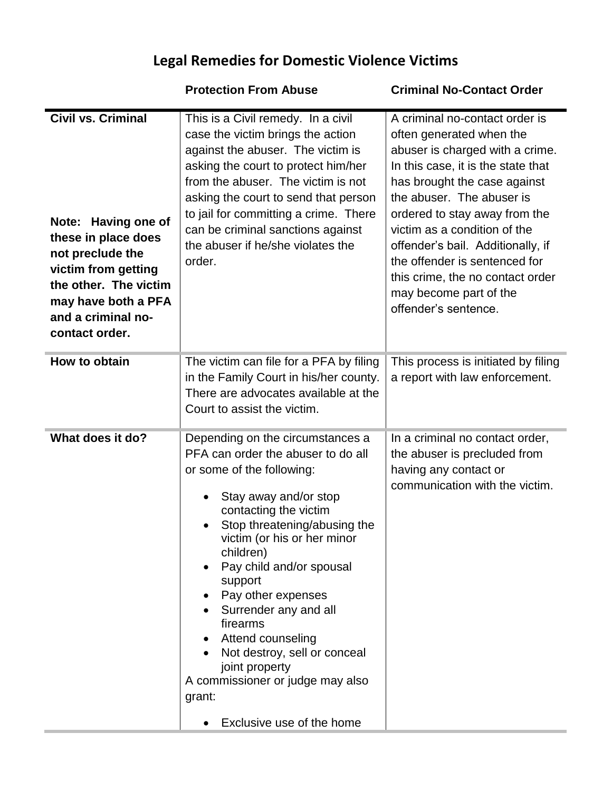## **Legal Remedies for Domestic Violence Victims**

## **Protection From Abuse Criminal No-Contact Order**

| <b>Civil vs. Criminal</b><br>Note: Having one of<br>these in place does<br>not preclude the<br>victim from getting<br>the other. The victim<br>may have both a PFA<br>and a criminal no-<br>contact order. | This is a Civil remedy. In a civil<br>case the victim brings the action<br>against the abuser. The victim is<br>asking the court to protect him/her<br>from the abuser. The victim is not<br>asking the court to send that person<br>to jail for committing a crime. There<br>can be criminal sanctions against<br>the abuser if he/she violates the<br>order.                                                                                                                                     | A criminal no-contact order is<br>often generated when the<br>abuser is charged with a crime.<br>In this case, it is the state that<br>has brought the case against<br>the abuser. The abuser is<br>ordered to stay away from the<br>victim as a condition of the<br>offender's bail. Additionally, if<br>the offender is sentenced for<br>this crime, the no contact order<br>may become part of the<br>offender's sentence. |
|------------------------------------------------------------------------------------------------------------------------------------------------------------------------------------------------------------|----------------------------------------------------------------------------------------------------------------------------------------------------------------------------------------------------------------------------------------------------------------------------------------------------------------------------------------------------------------------------------------------------------------------------------------------------------------------------------------------------|-------------------------------------------------------------------------------------------------------------------------------------------------------------------------------------------------------------------------------------------------------------------------------------------------------------------------------------------------------------------------------------------------------------------------------|
| How to obtain                                                                                                                                                                                              | The victim can file for a PFA by filing<br>in the Family Court in his/her county.<br>There are advocates available at the<br>Court to assist the victim.                                                                                                                                                                                                                                                                                                                                           | This process is initiated by filing<br>a report with law enforcement.                                                                                                                                                                                                                                                                                                                                                         |
| What does it do?                                                                                                                                                                                           | Depending on the circumstances a<br>PFA can order the abuser to do all<br>or some of the following:<br>Stay away and/or stop<br>contacting the victim<br>Stop threatening/abusing the<br>$\bullet$<br>victim (or his or her minor<br>children)<br>Pay child and/or spousal<br>support<br>Pay other expenses<br>Surrender any and all<br>firearms<br>Attend counseling<br>Not destroy, sell or conceal<br>joint property<br>A commissioner or judge may also<br>grant:<br>Exclusive use of the home | In a criminal no contact order,<br>the abuser is precluded from<br>having any contact or<br>communication with the victim.                                                                                                                                                                                                                                                                                                    |